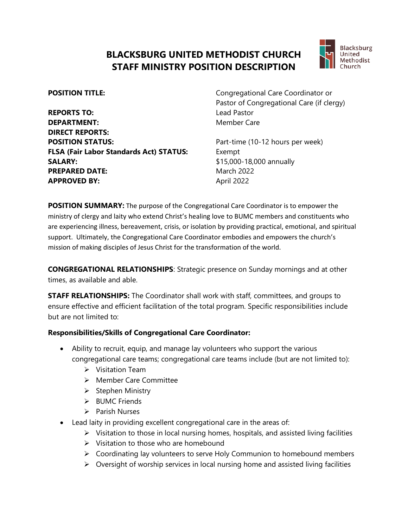## **BLACKSBURG UNITED METHODIST CHURCH STAFF MINISTRY POSITION DESCRIPTION**



**REPORTS TO:** Lead Pastor **DEPARTMENT:** Member Care **DIRECT REPORTS: POSITION STATUS:** Part-time (10-12 hours per week) **FLSA (Fair Labor Standards Act) STATUS:** Exempt **SALARY:**  $$15,000-18,000$  annually **PREPARED DATE:** March 2022 **APPROVED BY:** April 2022

**POSITION TITLE:** Congregational Care Coordinator or Pastor of Congregational Care (if clergy)

**POSITION SUMMARY:** The purpose of the Congregational Care Coordinator is to empower the ministry of clergy and laity who extend Christ's healing love to BUMC members and constituents who are experiencing illness, bereavement, crisis, or isolation by providing practical, emotional, and spiritual support. Ultimately, the Congregational Care Coordinator embodies and empowers the church's mission of making disciples of Jesus Christ for the transformation of the world.

**CONGREGATIONAL RELATIONSHIPS**: Strategic presence on Sunday mornings and at other times, as available and able.

**STAFF RELATIONSHIPS:** The Coordinator shall work with staff, committees, and groups to ensure effective and efficient facilitation of the total program. Specific responsibilities include but are not limited to:

## **Responsibilities/Skills of Congregational Care Coordinator:**

- Ability to recruit, equip, and manage lay volunteers who support the various congregational care teams; congregational care teams include (but are not limited to):
	- ➢ Visitation Team
	- ➢ Member Care Committee
	- ➢ Stephen Ministry
	- ➢ BUMC Friends
	- ➢ Parish Nurses
- Lead laity in providing excellent congregational care in the areas of:
	- $\triangleright$  Visitation to those in local nursing homes, hospitals, and assisted living facilities
	- ➢ Visitation to those who are homebound
	- ➢ Coordinating lay volunteers to serve Holy Communion to homebound members
	- $\triangleright$  Oversight of worship services in local nursing home and assisted living facilities